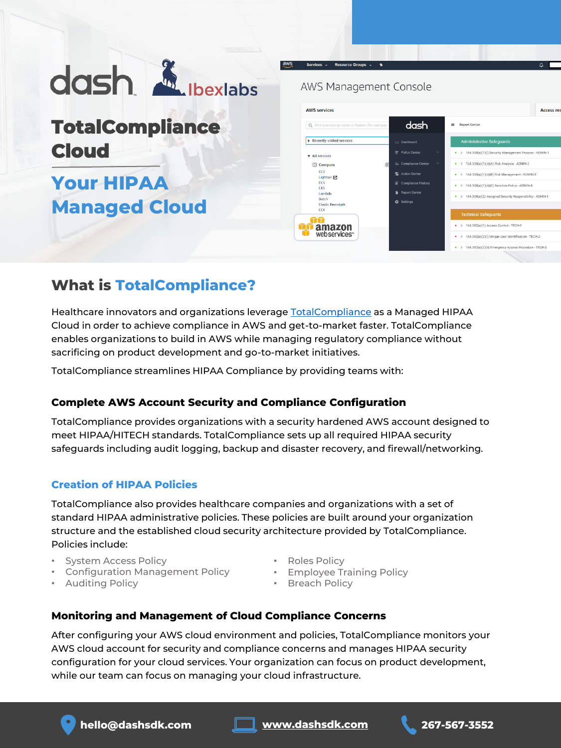# dash & Ibexlabs

## **TotalCompliance Cloud**

**Your HIPAA Managed Cloud** AWS Management Console

| Q Find a service by name or feature (for example, I | dash                                  |              | ≡<br><b>Report Center</b>                                       |
|-----------------------------------------------------|---------------------------------------|--------------|-----------------------------------------------------------------|
| ▶ Recently visited services                         | Dashboard                             |              | <b>Administrative Safeguards</b>                                |
| <b>v</b> All services                               | $\equiv$ Policy Center                | $\checkmark$ | > > 164.308(a)(1)(i) Security Management Process - ADMIN-1      |
| 同<br>Compute                                        | -/p. Compliance Center<br>Ê           | $\checkmark$ | $\bullet$ > 164.308(a)(1)(ii)(A) Risk Analysis - ADMIN-2        |
| EC <sub>2</sub><br>Lightsail <sup>7</sup>           | <b>Action Center</b>                  |              | > 164.308(a)(1)(ii)(B) Risk Management - ADMIN-3<br>٠           |
| ECS<br>EKS                                          | <b>Compliance History</b><br>$\equiv$ |              | > 164.308(a)(1)(ii)(C) Sanction Policy - ADMIN-4<br>٠           |
| Lambda<br>Batch                                     | <b>Report Center</b>                  |              | > 164.308(a)(2) Assigned Security Responsibility - ADMIN-5<br>٠ |
| <b>Elastic Beanstalk</b><br><b>FCR</b>              | <b>22</b> Settings                    |              |                                                                 |
| <b>The amazon</b>                                   |                                       |              | <b>Technical Safeguards</b>                                     |
|                                                     |                                       |              | $\bullet$ > 164.312(a)(1) Access Control - TECH-1               |
|                                                     |                                       |              | > 164.312(a)(2)(i) Unique User Identification - TECH-2<br>۰     |

## **What is TotalCompliance?**

Healthcare innovators and organizations leverage [TotalCompliance](https://dashs.dk/2G965FJ) as a Managed HIPAA Cloud in order to achieve compliance in AWS and get-to-market faster. TotalCompliance enables organizations to build in AWS while managing regulatory compliance without sacrificing on product development and go-to-market initiatives.

TotalCompliance streamlines HIPAA Compliance by providing teams with:

#### **Complete AWS Account Security and Compliance Configuration**

TotalCompliance provides organizations with a security hardened AWS account designed to meet HIPAA/HITECH standards. TotalCompliance sets up all required HIPAA security safeguards including audit logging, backup and disaster recovery, and firewall/networking.

#### **Creation of HIPAA Policies**

TotalCompliance also provides healthcare companies and organizations with a set of standard HIPAA administrative policies. These policies are built around your organization structure and the established cloud security architecture provided by TotalCompliance. Policies include:

- System Access Policy
- Configuration Management Policy
- Auditing Policy
- Roles Policy
- Employee Training Policy
- Breach Policy

#### **Monitoring and Management of Cloud Compliance Concerns**

After configuring your AWS cloud environment and policies, TotalCompliance monitors your AWS cloud account for security and compliance concerns and manages HIPAA security configuration for your cloud services. Your organization can focus on product development, while our team can focus on managing your cloud infrastructure.